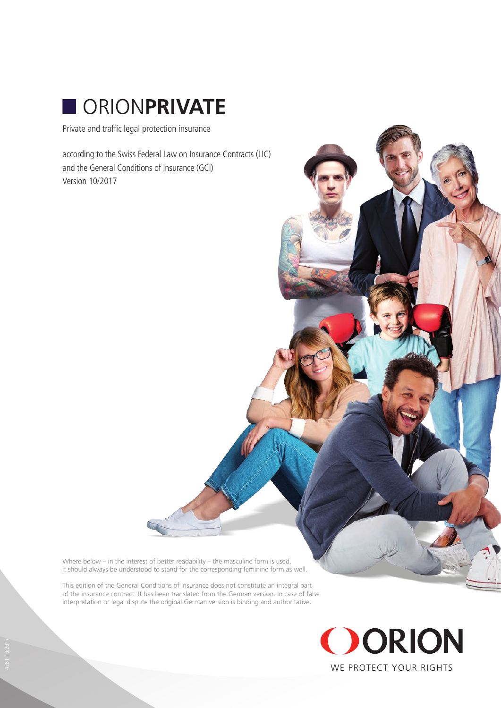

Private and traffic legal protection insurance

according to the Swiss Federal Law on Insurance Contracts (LIC) and the General Conditions of Insurance (GCI) Version 10/2017

Where below – in the interest of better readability – the masculine form is used, it should always be understood to stand for the corresponding feminine form as well.

This edition of the General Conditions of Insurance does not constitute an integral part of the insurance contract. It has been translated from the German version. In case of false interpretation or legal dispute the original German version is binding and authoritative.

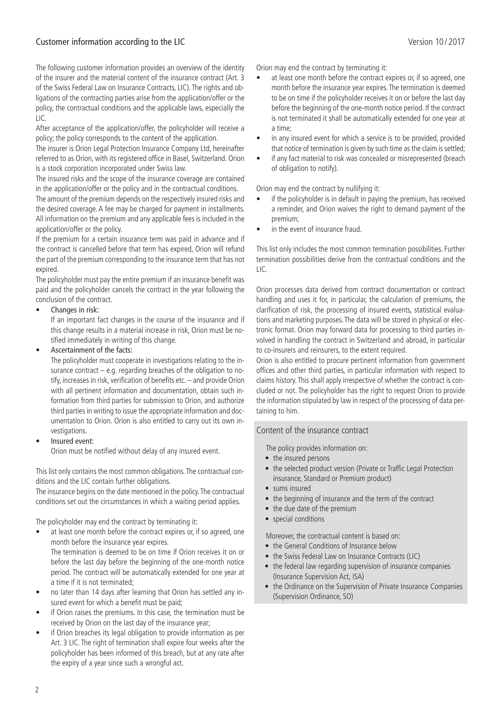# Customer information according to the LIC Version 10 / 2017

The following customer information provides an overview of the identity of the insurer and the material content of the insurance contract (Art. 3 of the Swiss Federal Law on Insurance Contracts, LIC). The rights and obligations of the contracting parties arise from the application/offer or the policy, the contractual conditions and the applicable laws, especially the LIC.

After acceptance of the application/offer, the policyholder will receive a policy; the policy corresponds to the content of the application.

The insurer is Orion Legal Protection Insurance Company Ltd, hereinafter referred to as Orion, with its registered office in Basel, Switzerland. Orion is a stock corporation incorporated under Swiss law.

The insured risks and the scope of the insurance coverage are contained in the application/offer or the policy and in the contractual conditions.

The amount of the premium depends on the respectively insured risks and the desired coverage. A fee may be charged for payment in installments. All information on the premium and any applicable fees is included in the application/offer or the policy.

If the premium for a certain insurance term was paid in advance and if the contract is cancelled before that term has expired, Orion will refund the part of the premium corresponding to the insurance term that has not expired.

The policyholder must pay the entire premium if an insurance benefit was paid and the policyholder cancels the contract in the year following the conclusion of the contract.

Changes in risk:

If an important fact changes in the course of the insurance and if this change results in a material increase in risk, Orion must be notified immediately in writing of this change.

• Ascertainment of the facts:

The policyholder must cooperate in investigations relating to the insurance contract – e.g. regarding breaches of the obligation to notify, increases in risk, verification of benefits etc. – and provide Orion with all pertinent information and documentation, obtain such information from third parties for submission to Orion, and authorize third parties in writing to issue the appropriate information and documentation to Orion. Orion is also entitled to carry out its own investigations.

• Insured event:

Orion must be notified without delay of any insured event.

This list only contains the most common obligations. The contractual conditions and the LIC contain further obligations.

The insurance begins on the date mentioned in the policy. The contractual conditions set out the circumstances in which a waiting period applies.

The policyholder may end the contract by terminating it:

- at least one month before the contract expires or, if so agreed, one month before the insurance year expires. The termination is deemed to be on time if Orion receives it on or before the last day before the beginning of the one-month notice period. The contract will be automatically extended for one year at a time if it is not terminated;
- no later than 14 days after learning that Orion has settled any insured event for which a benefit must be paid;
- if Orion raises the premiums. In this case, the termination must be received by Orion on the last day of the insurance year;
- if Orion breaches its legal obligation to provide information as per Art. 3 LIC. The right of termination shall expire four weeks after the policyholder has been informed of this breach, but at any rate after the expiry of a year since such a wrongful act.

Orion may end the contract by terminating it:

- at least one month before the contract expires or, if so agreed, one month before the insurance year expires. The termination is deemed to be on time if the policyholder receives it on or before the last day before the beginning of the one-month notice period. If the contract is not terminated it shall be automatically extended for one year at a time;
- in any insured event for which a service is to be provided, provided that notice of termination is given by such time as the claim is settled;
- if any fact material to risk was concealed or misrepresented (breach of obligation to notify).

Orion may end the contract by nullifying it:

- if the policyholder is in default in paying the premium, has received a reminder, and Orion waives the right to demand payment of the premium;
- in the event of insurance fraud.

This list only includes the most common termination possibilities. Further termination possibilities derive from the contractual conditions and the LIC.

Orion processes data derived from contract documentation or contract handling and uses it for, in particular, the calculation of premiums, the clarification of risk, the processing of insured events, statistical evaluations and marketing purposes. The data will be stored in physical or electronic format. Orion may forward data for processing to third parties involved in handling the contract in Switzerland and abroad, in particular to co-insurers and reinsurers, to the extent required.

Orion is also entitled to procure pertinent information from government offices and other third parties, in particular information with respect to claims history. This shall apply irrespective of whether the contract is concluded or not. The policyholder has the right to request Orion to provide the information stipulated by law in respect of the processing of data pertaining to him.

# Content of the insurance contract

The policy provides information on:

- the insured persons
- the selected product version (Private or Traffic Legal Protection insurance, Standard or Premium product)
- sums insured
- the beginning of insurance and the term of the contract
- the due date of the premium
- special conditions

Moreover, the contractual content is based on:

- the General Conditions of Insurance below
- the Swiss Federal Law on Insurance Contracts (LIC)
- the federal law regarding supervision of insurance companies (Insurance Supervision Act, ISA)
- the Ordinance on the Supervision of Private Insurance Companies (Supervision Ordinance, SO)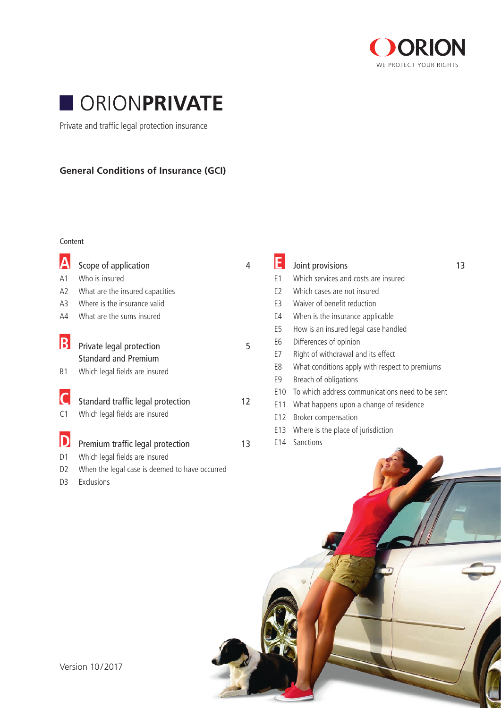



Private and traffic legal protection insurance

# **General Conditions of Insurance (GCI)**

#### Content

|                | Scope of application                           | $\overline{4}$ |                 | Joint provisions                                | 13 |
|----------------|------------------------------------------------|----------------|-----------------|-------------------------------------------------|----|
| A <sub>1</sub> | Who is insured                                 |                | E <sub>1</sub>  | Which services and costs are insured            |    |
| A <sub>2</sub> | What are the insured capacities                |                | E <sub>2</sub>  | Which cases are not insured                     |    |
| A <sub>3</sub> | Where is the insurance valid                   |                | E <sub>3</sub>  | Waiver of benefit reduction                     |    |
| A4             | What are the sums insured                      |                | E4              | When is the insurance applicable                |    |
|                |                                                |                | E <sub>5</sub>  | How is an insured legal case handled            |    |
| D              | Private legal protection                       | 5              | E6              | Differences of opinion                          |    |
|                | <b>Standard and Premium</b>                    |                | E7              | Right of withdrawal and its effect              |    |
| <b>B1</b>      | Which legal fields are insured                 |                | E8              | What conditions apply with respect to premiums  |    |
|                |                                                |                | E <sub>9</sub>  | Breach of obligations                           |    |
|                |                                                |                | E <sub>10</sub> | To which address communications need to be sent |    |
|                | Standard traffic legal protection              | 12             | E <sub>11</sub> | What happens upon a change of residence         |    |
| C <sub>1</sub> | Which legal fields are insured                 |                | E <sub>12</sub> | Broker compensation                             |    |
|                |                                                |                | E <sub>13</sub> | Where is the place of jurisdiction              |    |
|                | Premium traffic legal protection               | 13             | E14             | Sanctions                                       |    |
| D1             | Which legal fields are insured                 |                |                 |                                                 |    |
| D <sub>2</sub> | When the legal case is deemed to have occurred |                |                 |                                                 |    |
| D <sub>3</sub> | Exclusions                                     |                |                 |                                                 |    |
|                |                                                |                |                 |                                                 |    |

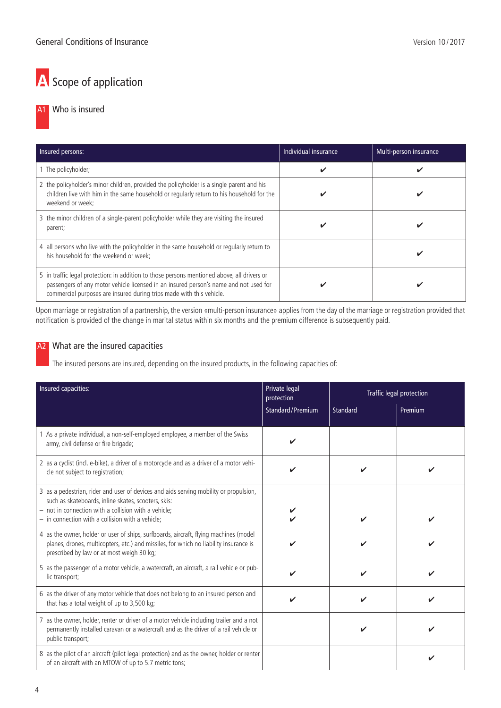# A Scope of application

# A1 Who is insured

| Insured persons:                                                                                                                                                                                                                                             | Individual insurance | Multi-person insurance |
|--------------------------------------------------------------------------------------------------------------------------------------------------------------------------------------------------------------------------------------------------------------|----------------------|------------------------|
| 1 The policyholder;                                                                                                                                                                                                                                          |                      | v                      |
| 2 the policyholder's minor children, provided the policyholder is a single parent and his<br>children live with him in the same household or regularly return to his household for the<br>weekend or week;                                                   |                      | v                      |
| 3 the minor children of a single-parent policyholder while they are visiting the insured<br>parent;                                                                                                                                                          | v                    | v                      |
| 4 all persons who live with the policyholder in the same household or regularly return to<br>his household for the weekend or week;                                                                                                                          |                      | M                      |
| 5 in traffic legal protection: in addition to those persons mentioned above, all drivers or<br>passengers of any motor vehicle licensed in an insured person's name and not used for<br>commercial purposes are insured during trips made with this vehicle. |                      |                        |

Upon marriage or registration of a partnership, the version «multi-person insurance» applies from the day of the marriage or registration provided that notification is provided of the change in marital status within six months and the premium difference is subsequently paid.

# A<sub>2</sub> What are the insured capacities

The insured persons are insured, depending on the insured products, in the following capacities of:

| Insured capacities:                                                                                                                                                                                                                                          | Private legal<br>protection |          | <b>Traffic legal protection</b> |
|--------------------------------------------------------------------------------------------------------------------------------------------------------------------------------------------------------------------------------------------------------------|-----------------------------|----------|---------------------------------|
|                                                                                                                                                                                                                                                              | <b>Standard/Premium</b>     | Standard | Premium                         |
| 1 As a private individual, a non-self-employed employee, a member of the Swiss<br>army, civil defense or fire brigade;                                                                                                                                       |                             |          |                                 |
| 2 as a cyclist (incl. e-bike), a driver of a motorcycle and as a driver of a motor vehi-<br>cle not subject to registration;                                                                                                                                 |                             |          |                                 |
| 3 as a pedestrian, rider and user of devices and aids serving mobility or propulsion,<br>such as skateboards, inline skates, scooters, skis:<br>$-$ not in connection with a collision with a vehicle;<br>$-$ in connection with a collision with a vehicle; |                             |          |                                 |
| 4 as the owner, holder or user of ships, surfboards, aircraft, flying machines (model<br>planes, drones, multicopters, etc.) and missiles, for which no liability insurance is<br>prescribed by law or at most weigh 30 kg;                                  |                             |          |                                 |
| 5 as the passenger of a motor vehicle, a watercraft, an aircraft, a rail vehicle or pub-<br>lic transport;                                                                                                                                                   |                             |          |                                 |
| 6 as the driver of any motor vehicle that does not belong to an insured person and<br>that has a total weight of up to 3,500 kg;                                                                                                                             |                             |          |                                 |
| 7 as the owner, holder, renter or driver of a motor vehicle including trailer and a not<br>permanently installed caravan or a watercraft and as the driver of a rail vehicle or<br>public transport;                                                         |                             |          |                                 |
| 8 as the pilot of an aircraft (pilot legal protection) and as the owner, holder or renter<br>of an aircraft with an MTOW of up to 5.7 metric tons;                                                                                                           |                             |          |                                 |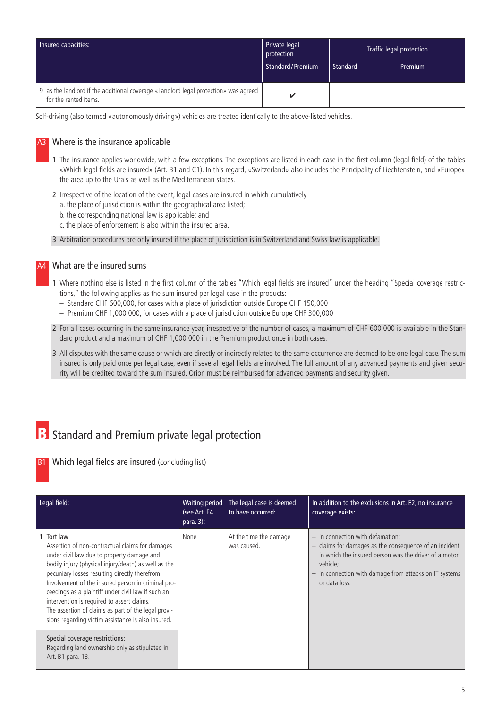| Insured capacities:                                                                                          | Private legal<br>protection | Traffic legal protection |         |
|--------------------------------------------------------------------------------------------------------------|-----------------------------|--------------------------|---------|
|                                                                                                              | Standard/Premium            | Standard                 | Premium |
| 9 as the landlord if the additional coverage «Landlord legal protection» was agreed<br>for the rented items. | ັ                           |                          |         |

Self-driving (also termed «autonomously driving») vehicles are treated identically to the above-listed vehicles.

## A3 Where is the insurance applicable

- 1 The insurance applies worldwide, with a few exceptions. The exceptions are listed in each case in the first column (legal field) of the tables «Which legal fields are insured» (Art. B1 and C1). In this regard, «Switzerland» also includes the Principality of Liechtenstein, and «Europe» the area up to the Urals as well as the Mediterranean states.
- 2 Irrespective of the location of the event, legal cases are insured in which cumulatively
	- a. the place of jurisdiction is within the geographical area listed;
	- b. the corresponding national law is applicable; and
	- c. the place of enforcement is also within the insured area.
- 3 Arbitration procedures are only insured if the place of jurisdiction is in Switzerland and Swiss law is applicable.

#### A4 What are the insured sums

- 1 Where nothing else is listed in the first column of the tables "Which legal fields are insured" under the heading "Special coverage restrictions," the following applies as the sum insured per legal case in the products:
	- Standard CHF 600,000, for cases with a place of jurisdiction outside Europe CHF 150,000
	- Premium CHF 1,000,000, for cases with a place of jurisdiction outside Europe CHF 300,000
- 2 For all cases occurring in the same insurance year, irrespective of the number of cases, a maximum of CHF 600,000 is available in the Standard product and a maximum of CHF 1,000,000 in the Premium product once in both cases.
- 3 All disputes with the same cause or which are directly or indirectly related to the same occurrence are deemed to be one legal case. The sum insured is only paid once per legal case, even if several legal fields are involved. The full amount of any advanced payments and given security will be credited toward the sum insured. Orion must be reimbursed for advanced payments and security given.

# **B** Standard and Premium private legal protection

**B1** Which legal fields are insured (concluding list)

| Legal field:                                                                                                                                                                                                                                                                                                                                                                                                                                                                               | <b>Waiting period</b><br>(see Art. E4<br>para. $3$ : | The legal case is deemed<br>to have occurred: | In addition to the exclusions in Art. E2, no insurance<br>coverage exists:                                                                                                                                                                     |
|--------------------------------------------------------------------------------------------------------------------------------------------------------------------------------------------------------------------------------------------------------------------------------------------------------------------------------------------------------------------------------------------------------------------------------------------------------------------------------------------|------------------------------------------------------|-----------------------------------------------|------------------------------------------------------------------------------------------------------------------------------------------------------------------------------------------------------------------------------------------------|
| Tort law<br>Assertion of non-contractual claims for damages<br>under civil law due to property damage and<br>bodily injury (physical injury/death) as well as the<br>pecuniary losses resulting directly therefrom.<br>Involvement of the insured person in criminal pro-<br>ceedings as a plaintiff under civil law if such an<br>intervention is required to assert claims.<br>The assertion of claims as part of the legal provi-<br>sions regarding victim assistance is also insured. | None                                                 | At the time the damage<br>was caused.         | $-$ in connection with defamation;<br>$-$ claims for damages as the consequence of an incident<br>in which the insured person was the driver of a motor<br>vehicle:<br>- in connection with damage from attacks on IT systems<br>or data loss. |
| Special coverage restrictions:<br>Regarding land ownership only as stipulated in<br>Art. B1 para. 13.                                                                                                                                                                                                                                                                                                                                                                                      |                                                      |                                               |                                                                                                                                                                                                                                                |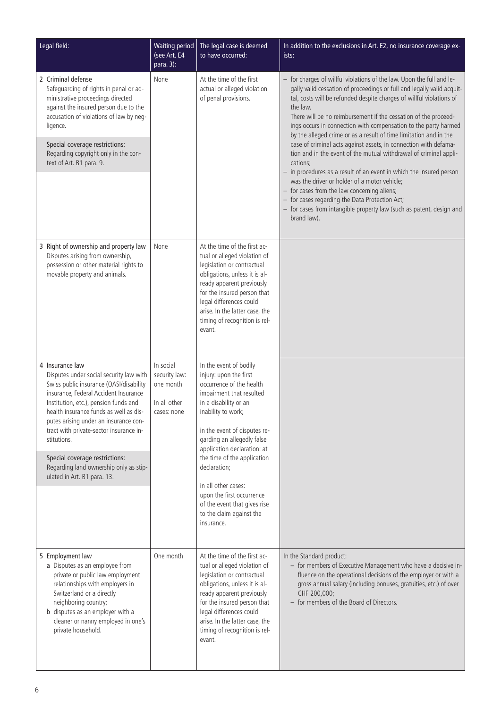| Legal field:                                                                                                                                                                                                                                                                                                                                                                                                                                    | <b>Waiting period</b><br>(see Art. E4<br>para. 3):                     | The legal case is deemed<br>to have occurred:                                                                                                                                                                                                                                                                                                                                                                                     | In addition to the exclusions in Art. E2, no insurance coverage ex-<br>ists:                                                                                                                                                                                                                                                                                                                                                                                                                                                                                                                                                                                                                                                                                                                                                                                                                                         |
|-------------------------------------------------------------------------------------------------------------------------------------------------------------------------------------------------------------------------------------------------------------------------------------------------------------------------------------------------------------------------------------------------------------------------------------------------|------------------------------------------------------------------------|-----------------------------------------------------------------------------------------------------------------------------------------------------------------------------------------------------------------------------------------------------------------------------------------------------------------------------------------------------------------------------------------------------------------------------------|----------------------------------------------------------------------------------------------------------------------------------------------------------------------------------------------------------------------------------------------------------------------------------------------------------------------------------------------------------------------------------------------------------------------------------------------------------------------------------------------------------------------------------------------------------------------------------------------------------------------------------------------------------------------------------------------------------------------------------------------------------------------------------------------------------------------------------------------------------------------------------------------------------------------|
| 2 Criminal defense<br>Safeguarding of rights in penal or ad-<br>ministrative proceedings directed<br>against the insured person due to the<br>accusation of violations of law by neg-<br>ligence.<br>Special coverage restrictions:<br>Regarding copyright only in the con-<br>text of Art. B1 para. 9.                                                                                                                                         | None                                                                   | At the time of the first<br>actual or alleged violation<br>of penal provisions.                                                                                                                                                                                                                                                                                                                                                   | - for charges of willful violations of the law. Upon the full and le-<br>gally valid cessation of proceedings or full and legally valid acquit-<br>tal, costs will be refunded despite charges of willful violations of<br>the law.<br>There will be no reimbursement if the cessation of the proceed-<br>ings occurs in connection with compensation to the party harmed<br>by the alleged crime or as a result of time limitation and in the<br>case of criminal acts against assets, in connection with defama-<br>tion and in the event of the mutual withdrawal of criminal appli-<br>cations;<br>$-$ in procedures as a result of an event in which the insured person<br>was the driver or holder of a motor vehicle;<br>- for cases from the law concerning aliens;<br>- for cases regarding the Data Protection Act;<br>- for cases from intangible property law (such as patent, design and<br>brand law). |
| 3 Right of ownership and property law<br>Disputes arising from ownership,<br>possession or other material rights to<br>movable property and animals.                                                                                                                                                                                                                                                                                            | None                                                                   | At the time of the first ac-<br>tual or alleged violation of<br>legislation or contractual<br>obligations, unless it is al-<br>ready apparent previously<br>for the insured person that<br>legal differences could<br>arise. In the latter case, the<br>timing of recognition is rel-<br>evant.                                                                                                                                   |                                                                                                                                                                                                                                                                                                                                                                                                                                                                                                                                                                                                                                                                                                                                                                                                                                                                                                                      |
| 4 Insurance law<br>Disputes under social security law with<br>Swiss public insurance (OASI/disability<br>insurance, Federal Accident Insurance<br>Institution, etc.), pension funds and<br>health insurance funds as well as dis-<br>putes arising under an insurance con-<br>tract with private-sector insurance in-<br>stitutions.<br>Special coverage restrictions:<br>Regarding land ownership only as stip-<br>ulated in Art. B1 para. 13. | In social<br>security law:<br>one month<br>In all other<br>cases: none | In the event of bodily<br>injury: upon the first<br>occurrence of the health<br>impairment that resulted<br>in a disability or an<br>inability to work;<br>in the event of disputes re-<br>garding an allegedly false<br>application declaration: at<br>the time of the application<br>declaration:<br>in all other cases:<br>upon the first occurrence<br>of the event that gives rise<br>to the claim against the<br>insurance. |                                                                                                                                                                                                                                                                                                                                                                                                                                                                                                                                                                                                                                                                                                                                                                                                                                                                                                                      |
| 5 Employment law<br>a Disputes as an employee from<br>private or public law employment<br>relationships with employers in<br>Switzerland or a directly<br>neighboring country;<br>b disputes as an employer with a<br>cleaner or nanny employed in one's<br>private household.                                                                                                                                                                  | One month                                                              | At the time of the first ac-<br>tual or alleged violation of<br>legislation or contractual<br>obligations, unless it is al-<br>ready apparent previously<br>for the insured person that<br>legal differences could<br>arise. In the latter case, the<br>timing of recognition is rel-<br>evant.                                                                                                                                   | In the Standard product:<br>- for members of Executive Management who have a decisive in-<br>fluence on the operational decisions of the employer or with a<br>gross annual salary (including bonuses, gratuities, etc.) of over<br>CHF 200,000;<br>- for members of the Board of Directors.                                                                                                                                                                                                                                                                                                                                                                                                                                                                                                                                                                                                                         |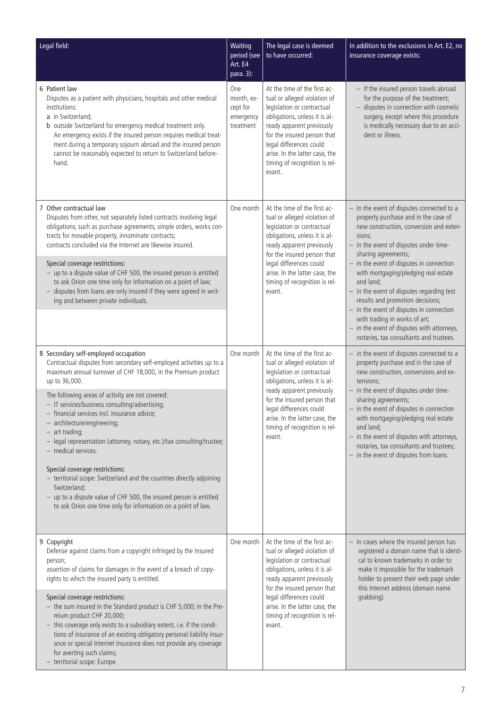| Legal field:                                                                                                                                                                                                                                                                                                                                                                                                                                                                                                                                                                                                                                                                                                                                                              | Waiting<br>period (see<br>Art. E4<br>para. $3$ ):       | The legal case is deemed<br>to have occurred:                                                                                                                                                                                                                                                   | In addition to the exclusions in Art. E2, no<br>insurance coverage exists:                                                                                                                                                                                                                                                                                                                                                                   |
|---------------------------------------------------------------------------------------------------------------------------------------------------------------------------------------------------------------------------------------------------------------------------------------------------------------------------------------------------------------------------------------------------------------------------------------------------------------------------------------------------------------------------------------------------------------------------------------------------------------------------------------------------------------------------------------------------------------------------------------------------------------------------|---------------------------------------------------------|-------------------------------------------------------------------------------------------------------------------------------------------------------------------------------------------------------------------------------------------------------------------------------------------------|----------------------------------------------------------------------------------------------------------------------------------------------------------------------------------------------------------------------------------------------------------------------------------------------------------------------------------------------------------------------------------------------------------------------------------------------|
| 6 Patient law<br>Disputes as a patient with physicians, hospitals and other medical<br>institutions:<br>a in Switzerland;<br>b outside Switzerland for emergency medical treatment only.<br>An emergency exists if the insured person requires medical treat-<br>ment during a temporary sojourn abroad and the insured person<br>cannot be reasonably expected to return to Switzerland before-<br>hand.                                                                                                                                                                                                                                                                                                                                                                 | One<br>month, ex-<br>cept for<br>emergency<br>treatment | At the time of the first ac-<br>tual or alleged violation of<br>legislation or contractual<br>obligations, unless it is al-<br>ready apparent previously<br>for the insured person that<br>legal differences could<br>arise. In the latter case, the<br>timing of recognition is rel-<br>evant. | - If the insured person travels abroad<br>for the purpose of the treatment;<br>- disputes in connection with cosmetic<br>surgery, except where this procedure<br>is medically necessary due to an acci-<br>dent or illness.                                                                                                                                                                                                                  |
| 7 Other contractual law<br>Disputes from other, not separately listed contracts involving legal<br>obligations, such as purchase agreements, simple orders, works con-<br>tracts for movable property, innominate contracts;<br>contracts concluded via the Internet are likewise insured.<br>Special coverage restrictions:<br>- up to a dispute value of CHF 500, the insured person is entitled                                                                                                                                                                                                                                                                                                                                                                        | One month                                               | At the time of the first ac-<br>tual or alleged violation of<br>legislation or contractual<br>obligations, unless it is al-<br>ready apparent previously<br>for the insured person that<br>legal differences could<br>arise. In the latter case, the                                            | - In the event of disputes connected to a<br>property purchase and in the case of<br>new construction, conversion and exten-<br>sions;<br>- in the event of disputes under time-<br>sharing agreements;<br>- in the event of disputes in connection<br>with mortgaging/pledging real estate                                                                                                                                                  |
| to ask Orion one time only for information on a point of law;<br>- disputes from loans are only insured if they were agreed in writ-<br>ing and between private individuals.                                                                                                                                                                                                                                                                                                                                                                                                                                                                                                                                                                                              |                                                         | timing of recognition is rel-<br>evant.                                                                                                                                                                                                                                                         | and land;<br>$-$ in the event of disputes regarding test<br>results and promotion decisions;<br>- in the event of disputes in connection<br>with trading in works of art;<br>- in the event of disputes with attorneys,<br>notaries, tax consultants and trustees.                                                                                                                                                                           |
| 8 Secondary self-employed occupation<br>Contractual disputes from secondary self-employed activities up to a<br>maximum annual turnover of CHF 18,000, in the Premium product<br>up to 36,000.<br>The following areas of activity are not covered:<br>- IT services/business consulting/advertising;<br>- financial services incl. insurance advice;<br>- architecture/engineering;<br>- art trading;<br>- legal representation (attorney, notary, etc.)/tax consulting/trustee;<br>- medical services.<br>Special coverage restrictions:<br>- territorial scope: Switzerland and the countries directly adjoining<br>Switzerland;<br>- up to a dispute value of CHF 500, the insured person is entitled<br>to ask Orion one time only for information on a point of law. | One month                                               | At the time of the first ac-<br>tual or alleged violation of<br>legislation or contractual<br>obligations, unless it is al-<br>ready apparent previously<br>for the insured person that<br>legal differences could<br>arise. In the latter case, the<br>timing of recognition is rel-<br>evant. | - in the event of disputes connected to a<br>property purchase and in the case of<br>new construction, conversions and ex-<br>tensions;<br>- in the event of disputes under time-<br>sharing agreements;<br>- in the event of disputes in connection<br>with mortgaging/pledging real estate<br>and land:<br>- in the event of disputes with attorneys,<br>notaries, tax consultants and trustees;<br>- in the event of disputes from loans. |
| 9 Copyright<br>Defense against claims from a copyright infringed by the insured<br>person;<br>assertion of claims for damages in the event of a breach of copy-<br>rights to which the insured party is entitled.<br>Special coverage restrictions:<br>- the sum insured in the Standard product is CHF 5,000; in the Pre-<br>mium product CHF 20,000;<br>- this coverage only exists to a subsidiary extent, i.e. if the condi-<br>tions of insurance of an existing obligatory personal liability insur-<br>ance or special Internet insurance does not provide any coverage<br>for averting such claims;<br>- territorial scope: Europe.                                                                                                                               | One month                                               | At the time of the first ac-<br>tual or alleged violation of<br>legislation or contractual<br>obligations, unless it is al-<br>ready apparent previously<br>for the insured person that<br>legal differences could<br>arise. In the latter case, the<br>timing of recognition is rel-<br>evant. | - In cases where the insured person has<br>registered a domain name that is identi-<br>cal to known trademarks in order to<br>make it impossible for the trademark<br>holder to present their web page under<br>this Internet address (domain name<br>grabbing).                                                                                                                                                                             |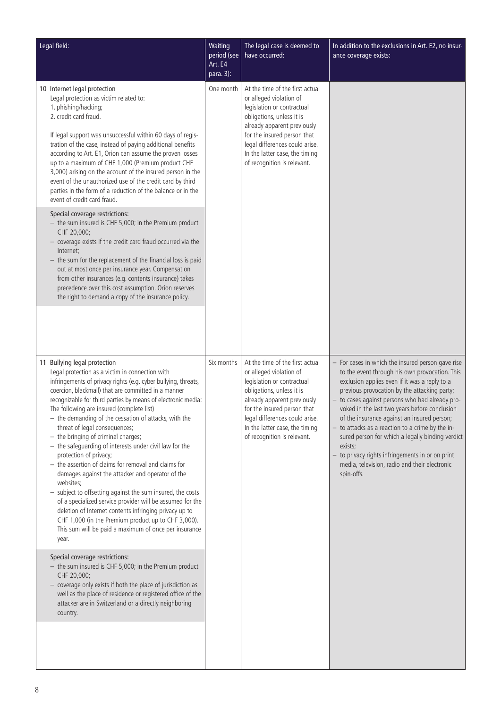| Legal field:                                                                                                                                                                                                                                                                                                                                                                                                                                                                                                                                                                                                                                                                                                                                                                                                                                                                                                                                                                           | Waiting<br>period (see<br>Art. E4<br>para. 3): | The legal case is deemed to<br>have occurred:                                                                                                                                                                                                                                          | In addition to the exclusions in Art. E2, no insur-<br>ance coverage exists:                                                                                                                                                                                                           |                                                                                                                                                                                                                                                                                                                                                                                                                                                                                                                                                                                               |
|----------------------------------------------------------------------------------------------------------------------------------------------------------------------------------------------------------------------------------------------------------------------------------------------------------------------------------------------------------------------------------------------------------------------------------------------------------------------------------------------------------------------------------------------------------------------------------------------------------------------------------------------------------------------------------------------------------------------------------------------------------------------------------------------------------------------------------------------------------------------------------------------------------------------------------------------------------------------------------------|------------------------------------------------|----------------------------------------------------------------------------------------------------------------------------------------------------------------------------------------------------------------------------------------------------------------------------------------|----------------------------------------------------------------------------------------------------------------------------------------------------------------------------------------------------------------------------------------------------------------------------------------|-----------------------------------------------------------------------------------------------------------------------------------------------------------------------------------------------------------------------------------------------------------------------------------------------------------------------------------------------------------------------------------------------------------------------------------------------------------------------------------------------------------------------------------------------------------------------------------------------|
| 10 Internet legal protection<br>Legal protection as victim related to:<br>1. phishing/hacking;<br>2. credit card fraud.<br>If legal support was unsuccessful within 60 days of regis-<br>tration of the case, instead of paying additional benefits<br>according to Art. E1, Orion can assume the proven losses<br>up to a maximum of CHF 1,000 (Premium product CHF<br>3,000) arising on the account of the insured person in the<br>event of the unauthorized use of the credit card by third<br>parties in the form of a reduction of the balance or in the<br>event of credit card fraud.<br>Special coverage restrictions:<br>- the sum insured is CHF 5,000; in the Premium product<br>CHF 20,000;<br>- coverage exists if the credit card fraud occurred via the<br>Internet:                                                                                                                                                                                                   | One month                                      | At the time of the first actual<br>or alleged violation of<br>legislation or contractual<br>obligations, unless it is<br>already apparent previously<br>for the insured person that<br>legal differences could arise.<br>In the latter case, the timing<br>of recognition is relevant. |                                                                                                                                                                                                                                                                                        |                                                                                                                                                                                                                                                                                                                                                                                                                                                                                                                                                                                               |
| $-$ the sum for the replacement of the financial loss is paid<br>out at most once per insurance year. Compensation<br>from other insurances (e.g. contents insurance) takes<br>precedence over this cost assumption. Orion reserves<br>the right to demand a copy of the insurance policy.                                                                                                                                                                                                                                                                                                                                                                                                                                                                                                                                                                                                                                                                                             |                                                |                                                                                                                                                                                                                                                                                        |                                                                                                                                                                                                                                                                                        |                                                                                                                                                                                                                                                                                                                                                                                                                                                                                                                                                                                               |
| 11 Bullying legal protection<br>Legal protection as a victim in connection with<br>infringements of privacy rights (e.g. cyber bullying, threats,<br>coercion, blackmail) that are committed in a manner<br>recognizable for third parties by means of electronic media:<br>The following are insured (complete list)<br>- the demanding of the cessation of attacks, with the<br>threat of legal consequences;<br>$-$ the bringing of criminal charges;<br>- the safeguarding of interests under civil law for the<br>protection of privacy;<br>$-$ the assertion of claims for removal and claims for<br>damages against the attacker and operator of the<br>websites;<br>- subject to offsetting against the sum insured, the costs<br>of a specialized service provider will be assumed for the<br>deletion of Internet contents infringing privacy up to<br>CHF 1,000 (in the Premium product up to CHF 3,000).<br>This sum will be paid a maximum of once per insurance<br>year. | Six months                                     |                                                                                                                                                                                                                                                                                        | At the time of the first actual<br>or alleged violation of<br>legislation or contractual<br>obligations, unless it is<br>already apparent previously<br>for the insured person that<br>legal differences could arise.<br>In the latter case, the timing<br>of recognition is relevant. | - For cases in which the insured person gave rise<br>to the event through his own provocation. This<br>exclusion applies even if it was a reply to a<br>previous provocation by the attacking party;<br>- to cases against persons who had already pro-<br>voked in the last two years before conclusion<br>of the insurance against an insured person;<br>- to attacks as a reaction to a crime by the in-<br>sured person for which a legally binding verdict<br>exists;<br>- to privacy rights infringements in or on print<br>media, television, radio and their electronic<br>spin-offs. |
| Special coverage restrictions:<br>- the sum insured is CHF 5,000; in the Premium product<br>CHF 20,000;<br>- coverage only exists if both the place of jurisdiction as<br>well as the place of residence or registered office of the<br>attacker are in Switzerland or a directly neighboring<br>country.                                                                                                                                                                                                                                                                                                                                                                                                                                                                                                                                                                                                                                                                              |                                                |                                                                                                                                                                                                                                                                                        |                                                                                                                                                                                                                                                                                        |                                                                                                                                                                                                                                                                                                                                                                                                                                                                                                                                                                                               |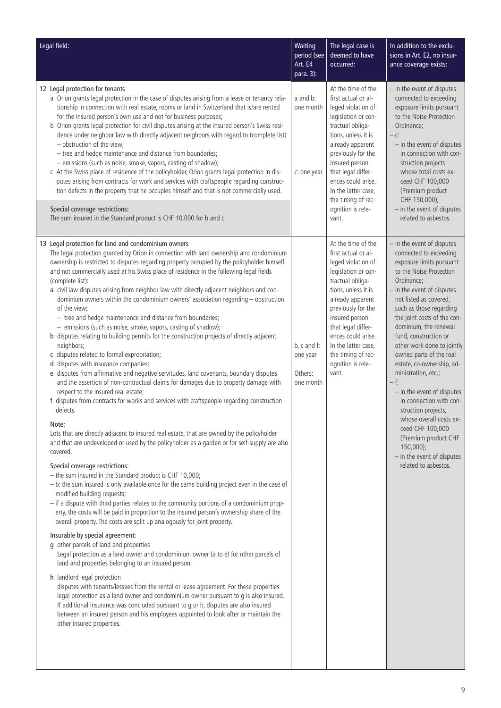| Legal field:                                                                                                                                                                                                                                                                                                                                                                                                                                                                                                                                                                                                                                                                                                                                                                                                                                                                                                                                                                                                                                                                                                                                                                                                                                                                                                                                                                                                                                                                                                                                                                                                                                                                                                                                                                                                                                                                                                                                                                                                                                                                                                                                                                                                                                                                                                                                                                                                                                                                                                                                                                                                          | Waiting<br>period (see<br>Art. E4<br>para. 3):  | The legal case is<br>deemed to have<br>occurred:                                                                                                                                                                                                                                                                     | In addition to the exclu-<br>sions in Art. E2, no insur-<br>ance coverage exists:                                                                                                                                                                                                                                                                                                                                                                                                                                                                                                                                                              |
|-----------------------------------------------------------------------------------------------------------------------------------------------------------------------------------------------------------------------------------------------------------------------------------------------------------------------------------------------------------------------------------------------------------------------------------------------------------------------------------------------------------------------------------------------------------------------------------------------------------------------------------------------------------------------------------------------------------------------------------------------------------------------------------------------------------------------------------------------------------------------------------------------------------------------------------------------------------------------------------------------------------------------------------------------------------------------------------------------------------------------------------------------------------------------------------------------------------------------------------------------------------------------------------------------------------------------------------------------------------------------------------------------------------------------------------------------------------------------------------------------------------------------------------------------------------------------------------------------------------------------------------------------------------------------------------------------------------------------------------------------------------------------------------------------------------------------------------------------------------------------------------------------------------------------------------------------------------------------------------------------------------------------------------------------------------------------------------------------------------------------------------------------------------------------------------------------------------------------------------------------------------------------------------------------------------------------------------------------------------------------------------------------------------------------------------------------------------------------------------------------------------------------------------------------------------------------------------------------------------------------|-------------------------------------------------|----------------------------------------------------------------------------------------------------------------------------------------------------------------------------------------------------------------------------------------------------------------------------------------------------------------------|------------------------------------------------------------------------------------------------------------------------------------------------------------------------------------------------------------------------------------------------------------------------------------------------------------------------------------------------------------------------------------------------------------------------------------------------------------------------------------------------------------------------------------------------------------------------------------------------------------------------------------------------|
| 12 Legal protection for tenants<br>a Orion grants legal protection in the case of disputes arising from a lease or tenancy rela-<br>tionship in connection with real estate, rooms or land in Switzerland that is/are rented<br>for the insured person's own use and not for business purposes;<br>b Orion grants legal protection for civil disputes arising at the insured person's Swiss resi-<br>dence under neighbor law with directly adjacent neighbors with regard to (complete list)<br>- obstruction of the view;<br>- tree and hedge maintenance and distance from boundaries;<br>- emissions (such as noise, smoke, vapors, casting of shadow);<br>c At the Swiss place of residence of the policyholder, Orion grants legal protection in dis-<br>putes arising from contracts for work and services with craftspeople regarding construc-<br>tion defects in the property that he occupies himself and that is not commercially used.<br>Special coverage restrictions:<br>The sum insured in the Standard product is CHF 10,000 for b and c.                                                                                                                                                                                                                                                                                                                                                                                                                                                                                                                                                                                                                                                                                                                                                                                                                                                                                                                                                                                                                                                                                                                                                                                                                                                                                                                                                                                                                                                                                                                                                           | a and b:<br>one month<br>c: one year            | At the time of the<br>first actual or al-<br>leged violation of<br>legislation or con-<br>tractual obliga-<br>tions, unless it is<br>already apparent<br>previously for the<br>insured person<br>that legal differ-<br>ences could arise.<br>In the latter case,<br>the timing of rec-<br>ognition is rele-<br>vant. | - In the event of disputes<br>connected to exceeding<br>exposure limits pursuant<br>to the Noise Protection<br>Ordinance;<br>$-$ C:<br>- in the event of disputes<br>in connection with con-<br>struction projects<br>whose total costs ex-<br>ceed CHF 100,000<br>(Premium product<br>CHF 150,000);<br>- in the event of disputes<br>related to asbestos.                                                                                                                                                                                                                                                                                     |
| 13 Legal protection for land and condominium owners<br>The legal protection granted by Orion in connection with land ownership and condominium<br>ownership is restricted to disputes regarding property occupied by the policyholder himself<br>and not commercially used at his Swiss place of residence in the following legal fields<br>(complete list):<br>a civil law disputes arising from neighbor law with directly adjacent neighbors and con-<br>dominium owners within the condominium owners' association regarding - obstruction<br>of the view;<br>- tree and hedge maintenance and distance from boundaries;<br>- emissions (such as noise, smoke, vapors, casting of shadow);<br>b disputes relating to building permits for the construction projects of directly adjacent<br>neighbors;<br>c disputes related to formal expropriation;<br>d disputes with insurance companies;<br>e disputes from affirmative and negative servitudes, land covenants, boundary disputes<br>and the assertion of non-contractual claims for damages due to property damage with<br>respect to the insured real estate;<br>f disputes from contracts for works and services with craftspeople regarding construction<br>defects.<br>Note:<br>Lots that are directly adjacent to insured real estate, that are owned by the policyholder<br>and that are undeveloped or used by the policyholder as a garden or for self-supply are also<br>covered.<br>Special coverage restrictions:<br>- the sum insured in the Standard product is CHF 10,000;<br>$-$ b: the sum insured is only available once for the same building project even in the case of<br>modified building requests;<br>- if a dispute with third parties relates to the community portions of a condominium prop-<br>erty, the costs will be paid in proportion to the insured person's ownership share of the<br>overall property. The costs are split up analogously for joint property.<br>Insurable by special agreement:<br>g other parcels of land and properties<br>Legal protection as a land owner and condominium owner (a to e) for other parcels of<br>land and properties belonging to an insured person;<br>h landlord legal protection<br>disputes with tenants/lessees from the rental or lease agreement. For these properties<br>legal protection as a land owner and condominium owner pursuant to g is also insured.<br>If additional insurance was concluded pursuant to g or h, disputes are also insured<br>between an insured person and his employees appointed to look after or maintain the<br>other insured properties. | b, c and f:<br>one year<br>Others:<br>one month | At the time of the<br>first actual or al-<br>leged violation of<br>legislation or con-<br>tractual obliga-<br>tions, unless it is<br>already apparent<br>previously for the<br>insured person<br>that legal differ-<br>ences could arise.<br>In the latter case,<br>the timing of rec-<br>ognition is rele-<br>vant. | - In the event of disputes<br>connected to exceeding<br>exposure limits pursuant<br>to the Noise Protection<br>Ordinance;<br>- in the event of disputes<br>not listed as covered,<br>such as those regarding<br>the joint costs of the con-<br>dominium, the renewal<br>fund, construction or<br>other work done to jointly<br>owned parts of the real<br>estate, co-ownership, ad-<br>ministration, etc.;<br>— f:<br>- in the event of disputes<br>in connection with con-<br>struction projects,<br>whose overall costs ex-<br>ceed CHF 100,000<br>(Premium product CHF<br>$150,000$ ;<br>- in the event of disputes<br>related to asbestos. |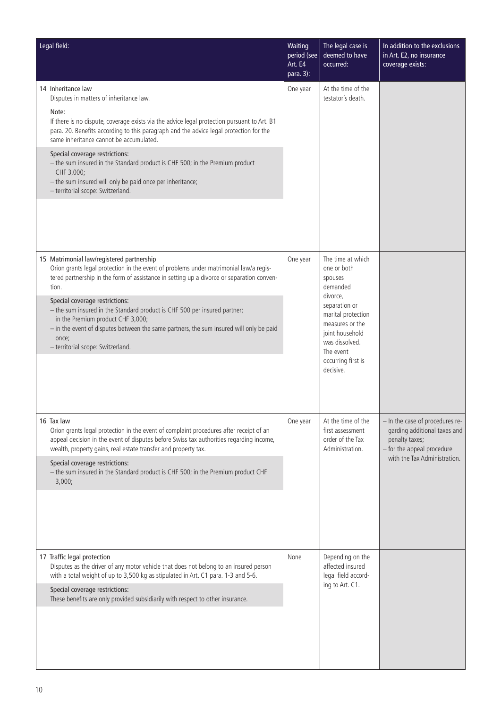| Legal field:                                                                                                                                                                                                                                                                                                                                                                                                                                                                                                                                 | Waiting<br>period (see<br>Art. E4<br>para. 3): | The legal case is<br>deemed to have<br>occurred:                                                                                                                                                                   | In addition to the exclusions<br>in Art. E2, no insurance<br>coverage exists:                                                                   |
|----------------------------------------------------------------------------------------------------------------------------------------------------------------------------------------------------------------------------------------------------------------------------------------------------------------------------------------------------------------------------------------------------------------------------------------------------------------------------------------------------------------------------------------------|------------------------------------------------|--------------------------------------------------------------------------------------------------------------------------------------------------------------------------------------------------------------------|-------------------------------------------------------------------------------------------------------------------------------------------------|
| 14 Inheritance law<br>Disputes in matters of inheritance law.<br>Note:<br>If there is no dispute, coverage exists via the advice legal protection pursuant to Art. B1<br>para. 20. Benefits according to this paragraph and the advice legal protection for the<br>same inheritance cannot be accumulated.<br>Special coverage restrictions:<br>- the sum insured in the Standard product is CHF 500; in the Premium product<br>CHF 3,000;<br>- the sum insured will only be paid once per inheritance;<br>- territorial scope: Switzerland. | One year                                       | At the time of the<br>testator's death.                                                                                                                                                                            |                                                                                                                                                 |
| 15 Matrimonial law/registered partnership<br>Orion grants legal protection in the event of problems under matrimonial law/a regis-<br>tered partnership in the form of assistance in setting up a divorce or separation conven-<br>tion.<br>Special coverage restrictions:<br>- the sum insured in the Standard product is CHF 500 per insured partner;<br>in the Premium product CHF 3,000;<br>- in the event of disputes between the same partners, the sum insured will only be paid<br>once;<br>- territorial scope: Switzerland.        | One year                                       | The time at which<br>one or both<br>spouses<br>demanded<br>divorce,<br>separation or<br>marital protection<br>measures or the<br>joint household<br>was dissolved.<br>The event<br>occurring first is<br>decisive. |                                                                                                                                                 |
| 16 Tax law<br>Orion grants legal protection in the event of complaint procedures after receipt of an<br>appeal decision in the event of disputes before Swiss tax authorities regarding income,<br>wealth, property gains, real estate transfer and property tax.<br>Special coverage restrictions:<br>- the sum insured in the Standard product is CHF 500; in the Premium product CHF<br>3,000;                                                                                                                                            | One year                                       | At the time of the<br>first assessment<br>order of the Tax<br>Administration.                                                                                                                                      | - In the case of procedures re-<br>garding additional taxes and<br>penalty taxes;<br>- for the appeal procedure<br>with the Tax Administration. |
| 17 Traffic legal protection<br>Disputes as the driver of any motor vehicle that does not belong to an insured person<br>with a total weight of up to 3,500 kg as stipulated in Art. C1 para. 1-3 and 5-6.<br>Special coverage restrictions:<br>These benefits are only provided subsidiarily with respect to other insurance.                                                                                                                                                                                                                | None                                           | Depending on the<br>affected insured<br>legal field accord-<br>ing to Art. C1.                                                                                                                                     |                                                                                                                                                 |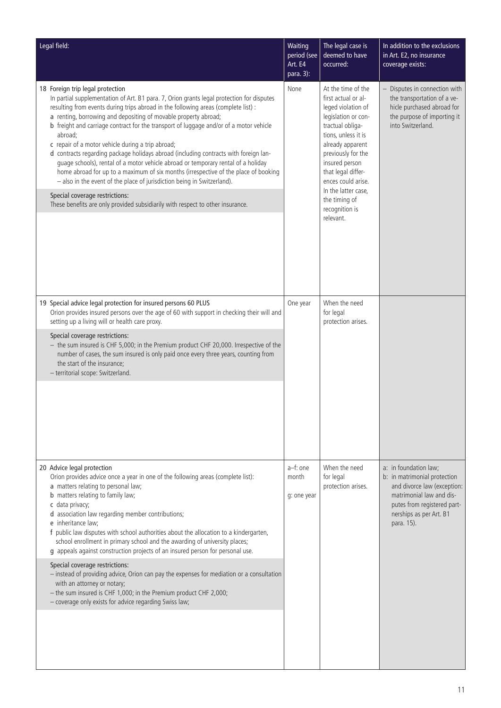| Legal field:                                                                                                                                                                                                                                                                                                                                                                                                                                                                                                                                                                                                                                                                                                                                                                                                                                                                                                        | Waiting<br>period (see<br>Art. E4<br>para. 3): | The legal case is<br>deemed to have<br>occurred:                                                                                                                                                                                                                                                                 | In addition to the exclusions<br>in Art. E2, no insurance<br>coverage exists:                                                                                                            |
|---------------------------------------------------------------------------------------------------------------------------------------------------------------------------------------------------------------------------------------------------------------------------------------------------------------------------------------------------------------------------------------------------------------------------------------------------------------------------------------------------------------------------------------------------------------------------------------------------------------------------------------------------------------------------------------------------------------------------------------------------------------------------------------------------------------------------------------------------------------------------------------------------------------------|------------------------------------------------|------------------------------------------------------------------------------------------------------------------------------------------------------------------------------------------------------------------------------------------------------------------------------------------------------------------|------------------------------------------------------------------------------------------------------------------------------------------------------------------------------------------|
| 18 Foreign trip legal protection<br>In partial supplementation of Art. B1 para. 7, Orion grants legal protection for disputes<br>resulting from events during trips abroad in the following areas (complete list) :<br>a renting, borrowing and depositing of movable property abroad;<br>b freight and carriage contract for the transport of luggage and/or of a motor vehicle<br>abroad:<br>c repair of a motor vehicle during a trip abroad;<br>d contracts regarding package holidays abroad (including contracts with foreign lan-<br>guage schools), rental of a motor vehicle abroad or temporary rental of a holiday<br>home abroad for up to a maximum of six months (irrespective of the place of booking<br>- also in the event of the place of jurisdiction being in Switzerland).<br>Special coverage restrictions:<br>These benefits are only provided subsidiarily with respect to other insurance. | None                                           | At the time of the<br>first actual or al-<br>leged violation of<br>legislation or con-<br>tractual obliga-<br>tions, unless it is<br>already apparent<br>previously for the<br>insured person<br>that legal differ-<br>ences could arise.<br>In the latter case.<br>the timing of<br>recognition is<br>relevant. | Disputes in connection with<br>the transportation of a ve-<br>hicle purchased abroad for<br>the purpose of importing it<br>into Switzerland.                                             |
| 19 Special advice legal protection for insured persons 60 PLUS<br>Orion provides insured persons over the age of 60 with support in checking their will and<br>setting up a living will or health care proxy.<br>Special coverage restrictions:<br>- the sum insured is CHF 5,000; in the Premium product CHF 20,000. Irrespective of the<br>number of cases, the sum insured is only paid once every three years, counting from<br>the start of the insurance;<br>- territorial scope: Switzerland.                                                                                                                                                                                                                                                                                                                                                                                                                | One year                                       | When the need<br>for legal<br>protection arises.                                                                                                                                                                                                                                                                 |                                                                                                                                                                                          |
| 20 Advice legal protection<br>Orion provides advice once a year in one of the following areas (complete list):<br>a matters relating to personal law;<br><b>b</b> matters relating to family law;<br>c data privacy;<br>d association law regarding member contributions;<br>e inheritance law;<br>f public law disputes with school authorities about the allocation to a kindergarten,<br>school enrollment in primary school and the awarding of university places;<br>g appeals against construction projects of an insured person for personal use.<br>Special coverage restrictions:<br>- instead of providing advice, Orion can pay the expenses for mediation or a consultation<br>with an attorney or notary;<br>- the sum insured is CHF 1,000; in the Premium product CHF 2,000;<br>- coverage only exists for advice regarding Swiss law;                                                               | a-f: one<br>month<br>g: one year               | When the need<br>for legal<br>protection arises.                                                                                                                                                                                                                                                                 | a: in foundation law;<br>b: in matrimonial protection<br>and divorce law (exception:<br>matrimonial law and dis-<br>putes from registered part-<br>nerships as per Art. B1<br>para. 15). |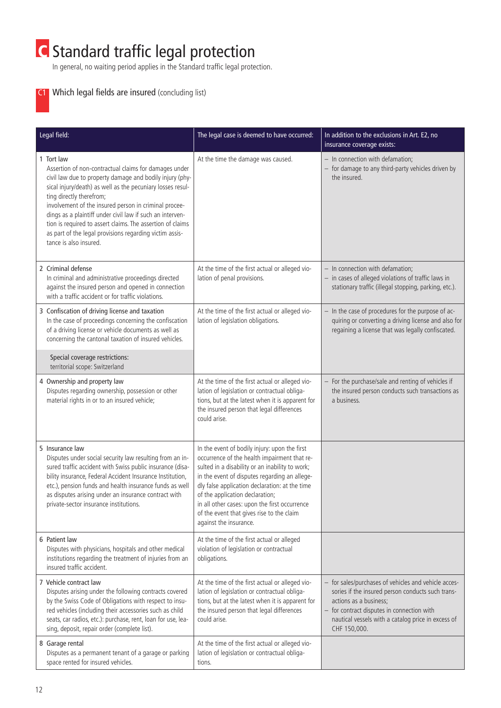# **C** Standard traffic legal protection

In general, no waiting period applies in the Standard traffic legal protection.

# C1 Which legal fields are insured (concluding list)

| Legal field:                                                                                                                                                                                                                                                                                                                                                                                                                                                                                       | The legal case is deemed to have occurred:                                                                                                                                                                                                                                                                                                                                                                     | In addition to the exclusions in Art. E2, no<br>insurance coverage exists:                                                                                                                                                                              |
|----------------------------------------------------------------------------------------------------------------------------------------------------------------------------------------------------------------------------------------------------------------------------------------------------------------------------------------------------------------------------------------------------------------------------------------------------------------------------------------------------|----------------------------------------------------------------------------------------------------------------------------------------------------------------------------------------------------------------------------------------------------------------------------------------------------------------------------------------------------------------------------------------------------------------|---------------------------------------------------------------------------------------------------------------------------------------------------------------------------------------------------------------------------------------------------------|
| 1 Tort law<br>Assertion of non-contractual claims for damages under<br>civil law due to property damage and bodily injury (phy-<br>sical injury/death) as well as the pecuniary losses resul-<br>ting directly therefrom;<br>involvement of the insured person in criminal procee-<br>dings as a plaintiff under civil law if such an interven-<br>tion is required to assert claims. The assertion of claims<br>as part of the legal provisions regarding victim assis-<br>tance is also insured. | At the time the damage was caused.                                                                                                                                                                                                                                                                                                                                                                             | - In connection with defamation;<br>- for damage to any third-party vehicles driven by<br>the insured.                                                                                                                                                  |
| 2 Criminal defense<br>In criminal and administrative proceedings directed<br>against the insured person and opened in connection<br>with a traffic accident or for traffic violations.                                                                                                                                                                                                                                                                                                             | At the time of the first actual or alleged vio-<br>lation of penal provisions.                                                                                                                                                                                                                                                                                                                                 | - In connection with defamation;<br>$-$ in cases of alleged violations of traffic laws in<br>stationary traffic (illegal stopping, parking, etc.).                                                                                                      |
| 3 Confiscation of driving license and taxation<br>In the case of proceedings concerning the confiscation<br>of a driving license or vehicle documents as well as<br>concerning the cantonal taxation of insured vehicles.<br>Special coverage restrictions:<br>territorial scope: Switzerland                                                                                                                                                                                                      | At the time of the first actual or alleged vio-<br>lation of legislation obligations.                                                                                                                                                                                                                                                                                                                          | - In the case of procedures for the purpose of ac-<br>quiring or converting a driving license and also for<br>regaining a license that was legally confiscated.                                                                                         |
| 4 Ownership and property law<br>Disputes regarding ownership, possession or other<br>material rights in or to an insured vehicle;                                                                                                                                                                                                                                                                                                                                                                  | At the time of the first actual or alleged vio-<br>lation of legislation or contractual obliga-<br>tions, but at the latest when it is apparent for<br>the insured person that legal differences<br>could arise.                                                                                                                                                                                               | - For the purchase/sale and renting of vehicles if<br>the insured person conducts such transactions as<br>a business.                                                                                                                                   |
| 5 Insurance law<br>Disputes under social security law resulting from an in-<br>sured traffic accident with Swiss public insurance (disa-<br>bility insurance, Federal Accident Insurance Institution,<br>etc.), pension funds and health insurance funds as well<br>as disputes arising under an insurance contract with<br>private-sector insurance institutions.                                                                                                                                 | In the event of bodily injury: upon the first<br>occurrence of the health impairment that re-<br>sulted in a disability or an inability to work;<br>in the event of disputes regarding an allege-<br>dly false application declaration: at the time<br>of the application declaration;<br>in all other cases: upon the first occurrence<br>of the event that gives rise to the claim<br>against the insurance. |                                                                                                                                                                                                                                                         |
| 6 Patient law<br>Disputes with physicians, hospitals and other medical<br>institutions regarding the treatment of injuries from an<br>insured traffic accident.                                                                                                                                                                                                                                                                                                                                    | At the time of the first actual or alleged<br>violation of legislation or contractual<br>obligations.                                                                                                                                                                                                                                                                                                          |                                                                                                                                                                                                                                                         |
| 7 Vehicle contract law<br>Disputes arising under the following contracts covered<br>by the Swiss Code of Obligations with respect to insu-<br>red vehicles (including their accessories such as child<br>seats, car radios, etc.): purchase, rent, loan for use, lea-<br>sing, deposit, repair order (complete list).                                                                                                                                                                              | At the time of the first actual or alleged vio-<br>lation of legislation or contractual obliga-<br>tions, but at the latest when it is apparent for<br>the insured person that legal differences<br>could arise.                                                                                                                                                                                               | - for sales/purchases of vehicles and vehicle acces-<br>sories if the insured person conducts such trans-<br>actions as a business;<br>- for contract disputes in connection with<br>nautical vessels with a catalog price in excess of<br>CHF 150,000. |
| 8 Garage rental<br>Disputes as a permanent tenant of a garage or parking<br>space rented for insured vehicles.                                                                                                                                                                                                                                                                                                                                                                                     | At the time of the first actual or alleged vio-<br>lation of legislation or contractual obliga-<br>tions.                                                                                                                                                                                                                                                                                                      |                                                                                                                                                                                                                                                         |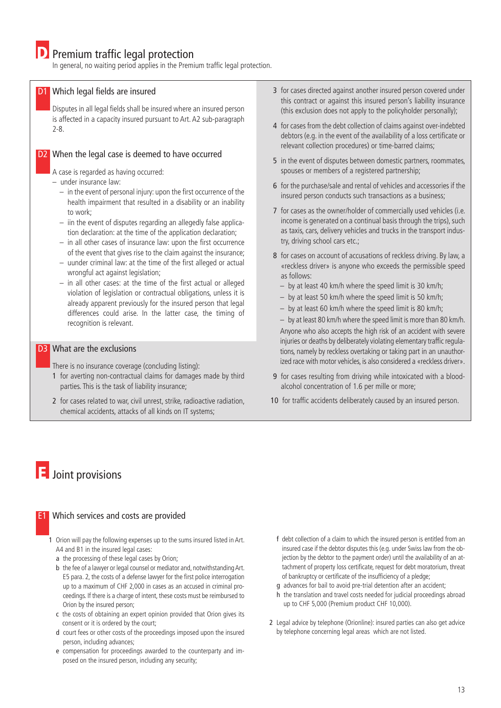In general, no waiting period applies in the Premium traffic legal protection.

#### D1 Which legal fields are insured

Disputes in all legal fields shall be insured where an insured person is affected in a capacity insured pursuant to Art. A2 sub-paragraph 2-8.

#### D<sub>2</sub> When the legal case is deemed to have occurred

A case is regarded as having occurred:

- under insurance law:
	- in the event of personal injury: upon the first occurrence of the health impairment that resulted in a disability or an inability to work;
	- iin the event of disputes regarding an allegedly false application declaration: at the time of the application declaration;
	- in all other cases of insurance law: upon the first occurrence of the event that gives rise to the claim against the insurance;
	- uunder criminal law: at the time of the first alleged or actual wrongful act against legislation;
	- in all other cases: at the time of the first actual or alleged violation of legislation or contractual obligations, unless it is already apparent previously for the insured person that legal differences could arise. In the latter case, the timing of recognition is relevant.

#### D3 What are the exclusions

There is no insurance coverage (concluding listing):

- 1 for averting non-contractual claims for damages made by third parties. This is the task of liability insurance;
- 2 for cases related to war, civil unrest, strike, radioactive radiation, chemical accidents, attacks of all kinds on IT systems;
- 3 for cases directed against another insured person covered under this contract or against this insured person's liability insurance (this exclusion does not apply to the policyholder personally);
- 4 for cases from the debt collection of claims against over-indebted debtors (e.g. in the event of the availability of a loss certificate or relevant collection procedures) or time-barred claims;
- 5 in the event of disputes between domestic partners, roommates, spouses or members of a registered partnership;
- 6 for the purchase/sale and rental of vehicles and accessories if the insured person conducts such transactions as a business;
- 7 for cases as the owner/holder of commercially used vehicles (i.e. income is generated on a continual basis through the trips), such as taxis, cars, delivery vehicles and trucks in the transport industry, driving school cars etc.;
- 8 for cases on account of accusations of reckless driving. By law, a «reckless driver» is anyone who exceeds the permissible speed as follows:
	- by at least 40 km/h where the speed limit is 30 km/h;
	- by at least 50 km/h where the speed limit is 50 km/h;
	- by at least 60 km/h where the speed limit is 80 km/h;

– by at least 80 km/h where the speed limit is more than 80 km/h. Anyone who also accepts the high risk of an accident with severe injuries or deaths by deliberately violating elementary traffic regulations, namely by reckless overtaking or taking part in an unauthorized race with motor vehicles, is also considered a «reckless driver».

- 9 for cases resulting from driving while intoxicated with a bloodalcohol concentration of 1.6 per mille or more;
- 10 for traffic accidents deliberately caused by an insured person.

# E Joint provisions

#### E1 Which services and costs are provided

1 Orion will pay the following expenses up to the sums insured listed in Art. A4 and B1 in the insured legal cases:

- a the processing of these legal cases by Orion;
- b the fee of a lawyer or legal counsel or mediator and, notwithstanding Art. E5 para. 2, the costs of a defense lawyer for the first police interrogation up to a maximum of CHF 2,000 in cases as an accused in criminal proceedings. If there is a charge of intent, these costs must be reimbursed to Orion by the insured person;
- c the costs of obtaining an expert opinion provided that Orion gives its consent or it is ordered by the court;
- d court fees or other costs of the proceedings imposed upon the insured person, including advances;
- e compensation for proceedings awarded to the counterparty and imposed on the insured person, including any security;
- f debt collection of a claim to which the insured person is entitled from an insured case if the debtor disputes this (e.g. under Swiss law from the objection by the debtor to the payment order) until the availability of an attachment of property loss certificate, request for debt moratorium, threat of bankruptcy or certificate of the insufficiency of a pledge;
- g advances for bail to avoid pre-trial detention after an accident;
- h the translation and travel costs needed for judicial proceedings abroad up to CHF 5,000 (Premium product CHF 10,000).
- 2 Legal advice by telephone (Orionline): insured parties can also get advice by telephone concerning legal areas which are not listed.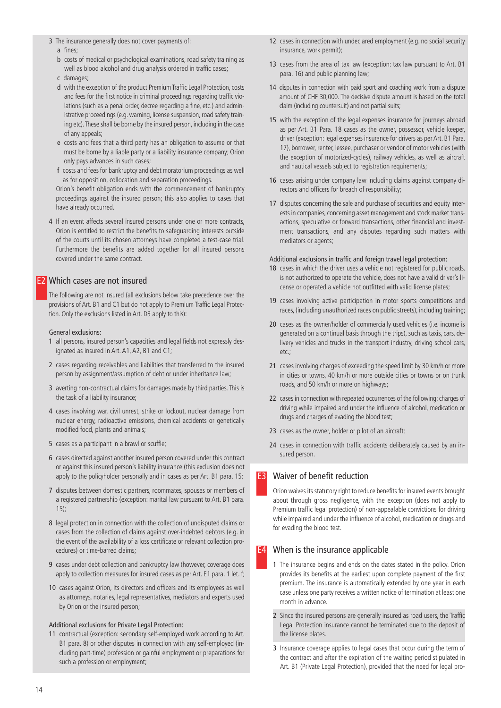- 3 The insurance generally does not cover payments of:
	- a fines;
	- b costs of medical or psychological examinations, road safety training as well as blood alcohol and drug analysis ordered in traffic cases;
	- c damages;
	- d with the exception of the product Premium Traffic Legal Protection, costs and fees for the first notice in criminal proceedings regarding traffic violations (such as a penal order, decree regarding a fine, etc.) and administrative proceedings (e.g. warning, license suspension, road safety training etc). These shall be borne by the insured person, including in the case of any appeals;
	- e costs and fees that a third party has an obligation to assume or that must be borne by a liable party or a liability insurance company; Orion only pays advances in such cases;
	- f costs and fees for bankruptcy and debt moratorium proceedings as well as for opposition, collocation and separation proceedings.

Orion's benefit obligation ends with the commencement of bankruptcy proceedings against the insured person; this also applies to cases that have already occurred.

4 If an event affects several insured persons under one or more contracts, Orion is entitled to restrict the benefits to safeguarding interests outside of the courts until its chosen attorneys have completed a test-case trial. Furthermore the benefits are added together for all insured persons covered under the same contract.

## E2 Which cases are not insured

The following are not insured (all exclusions below take precedence over the provisions of Art. B1 and C1 but do not apply to Premium Traffic Legal Protection. Only the exclusions listed in Art. D3 apply to this):

#### General exclusions:

- 1 all persons, insured person's capacities and legal fields not expressly designated as insured in Art. A1, A2, B1 and C1;
- 2 cases regarding receivables and liabilities that transferred to the insured person by assignment/assumption of debt or under inheritance law;
- 3 averting non-contractual claims for damages made by third parties. This is the task of a liability insurance;
- 4 cases involving war, civil unrest, strike or lockout, nuclear damage from nuclear energy, radioactive emissions, chemical accidents or genetically modified food, plants and animals;
- 5 cases as a participant in a brawl or scuffle;
- 6 cases directed against another insured person covered under this contract or against this insured person's liability insurance (this exclusion does not apply to the policyholder personally and in cases as per Art. B1 para. 15;
- 7 disputes between domestic partners, roommates, spouses or members of a registered partnership (exception: marital law pursuant to Art. B1 para. 15);
- 8 legal protection in connection with the collection of undisputed claims or cases from the collection of claims against over-indebted debtors (e.g. in the event of the availability of a loss certificate or relevant collection procedures) or time-barred claims;
- 9 cases under debt collection and bankruptcy law (however, coverage does apply to collection measures for insured cases as per Art. E1 para. 1 let. f;
- 10 cases against Orion, its directors and officers and its employees as well as attorneys, notaries, legal representatives, mediators and experts used by Orion or the insured person;

#### Additional exclusions for Private Legal Protection:

11 contractual (exception: secondary self-employed work according to Art. B1 para. 8) or other disputes in connection with any self-employed (including part-time) profession or gainful employment or preparations for such a profession or employment;

- 12 cases in connection with undeclared employment (e.g. no social security insurance, work permit);
- 13 cases from the area of tax law (exception: tax law pursuant to Art. B1 para. 16) and public planning law;
- 14 disputes in connection with paid sport and coaching work from a dispute amount of CHF 30,000. The decisive dispute amount is based on the total claim (including countersuit) and not partial suits;
- 15 with the exception of the legal expenses insurance for journeys abroad as per Art. B1 Para. 18 cases as the owner, possessor, vehicle keeper, driver (exception: legal expenses insurance for drivers as per Art. B1 Para. 17), borrower, renter, lessee, purchaser or vendor of motor vehicles (with the exception of motorized-cycles), railway vehicles, as well as aircraft and nautical vessels subject to registration requirements;
- 16 cases arising under company law including claims against company directors and officers for breach of responsibility;
- 17 disputes concerning the sale and purchase of securities and equity interests in companies, concerning asset management and stock market transactions, speculative or forward transactions, other financial and investment transactions, and any disputes regarding such matters with mediators or agents;

#### Additional exclusions in traffic and foreign travel legal protection:

- 18 cases in which the driver uses a vehicle not registered for public roads, is not authorized to operate the vehicle, does not have a valid driver's license or operated a vehicle not outfitted with valid license plates;
- 19 cases involving active participation in motor sports competitions and races, (including unauthorized races on public streets), including training;
- 20 cases as the owner/holder of commercially used vehicles (i.e. income is generated on a continual basis through the trips), such as taxis, cars, delivery vehicles and trucks in the transport industry, driving school cars, etc.;
- 21 cases involving charges of exceeding the speed limit by 30 km/h or more in cities or towns, 40 km/h or more outside cities or towns or on trunk roads, and 50 km/h or more on highways;
- 22 cases in connection with repeated occurrences of the following: charges of driving while impaired and under the influence of alcohol, medication or drugs and charges of evading the blood test;
- 23 cases as the owner, holder or pilot of an aircraft;
- 24 cases in connection with traffic accidents deliberately caused by an insured person.

# **E3** Waiver of benefit reduction

Orion waives its statutory right to reduce benefits for insured events brought about through gross negligence, with the exception (does not apply to Premium traffic legal protection) of non-appealable convictions for driving while impaired and under the influence of alcohol, medication or drugs and for evading the blood test.

#### **E4** When is the insurance applicable

- 1 The insurance begins and ends on the dates stated in the policy. Orion provides its benefits at the earliest upon complete payment of the first premium. The insurance is automatically extended by one year in each case unless one party receives a written notice of termination at least one month in advance.
- 2 Since the insured persons are generally insured as road users, the Traffic Legal Protection insurance cannot be terminated due to the deposit of the license plates.
- 3 Insurance coverage applies to legal cases that occur during the term of the contract and after the expiration of the waiting period stipulated in Art. B1 (Private Legal Protection), provided that the need for legal pro-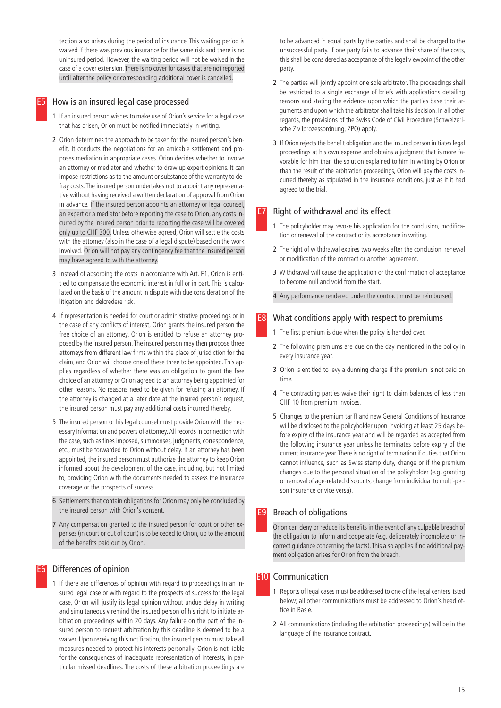tection also arises during the period of insurance. This waiting period is waived if there was previous insurance for the same risk and there is no uninsured period. However, the waiting period will not be waived in the case of a cover extension. There is no cover for cases that are not reported until after the policy or corresponding additional cover is cancelled.

#### How is an insured legal case processed

- 1 If an insured person wishes to make use of Orion's service for a legal case that has arisen, Orion must be notified immediately in writing.
- 2 Orion determines the approach to be taken for the insured person's benefit. It conducts the negotiations for an amicable settlement and proposes mediation in appropriate cases. Orion decides whether to involve an attorney or mediator and whether to draw up expert opinions. It can impose restrictions as to the amount or substance of the warranty to defray costs. The insured person undertakes not to appoint any representative without having received a written declaration of approval from Orion in advance. If the insured person appoints an attorney or legal counsel, an expert or a mediator before reporting the case to Orion, any costs incurred by the insured person prior to reporting the case will be covered only up to CHF 300. Unless otherwise agreed, Orion will settle the costs with the attorney (also in the case of a legal dispute) based on the work involved. Orion will not pay any contingency fee that the insured person may have agreed to with the attorney.
- 3 Instead of absorbing the costs in accordance with Art. E1, Orion is entitled to compensate the economic interest in full or in part. This is calculated on the basis of the amount in dispute with due consideration of the litigation and delcredere risk.
- 4 If representation is needed for court or administrative proceedings or in the case of any conflicts of interest, Orion grants the insured person the free choice of an attorney. Orion is entitled to refuse an attorney proposed by the insured person. The insured person may then propose three attorneys from different law firms within the place of jurisdiction for the claim, and Orion will choose one of these three to be appointed. This applies regardless of whether there was an obligation to grant the free choice of an attorney or Orion agreed to an attorney being appointed for other reasons. No reasons need to be given for refusing an attorney. If the attorney is changed at a later date at the insured person's request, the insured person must pay any additional costs incurred thereby.
- 5 The insured person or his legal counsel must provide Orion with the necessary information and powers of attorney. All records in connection with the case, such as fines imposed, summonses, judgments, correspondence, etc., must be forwarded to Orion without delay. If an attorney has been appointed, the insured person must authorize the attorney to keep Orion informed about the development of the case, including, but not limited to, providing Orion with the documents needed to assess the insurance coverage or the prospects of success.
- 6 Settlements that contain obligations for Orion may only be concluded by the insured person with Orion's consent.
- 7 Any compensation granted to the insured person for court or other expenses (in court or out of court) is to be ceded to Orion, up to the amount of the benefits paid out by Orion.

# E6 Differences of opinion

1 If there are differences of opinion with regard to proceedings in an insured legal case or with regard to the prospects of success for the legal case, Orion will justify its legal opinion without undue delay in writing and simultaneously remind the insured person of his right to initiate arbitration proceedings within 20 days. Any failure on the part of the insured person to request arbitration by this deadline is deemed to be a waiver. Upon receiving this notification, the insured person must take all measures needed to protect his interests personally. Orion is not liable for the consequences of inadequate representation of interests, in particular missed deadlines. The costs of these arbitration proceedings are

to be advanced in equal parts by the parties and shall be charged to the unsuccessful party. If one party fails to advance their share of the costs, this shall be considered as acceptance of the legal viewpoint of the other party.

- 2 The parties will jointly appoint one sole arbitrator. The proceedings shall be restricted to a single exchange of briefs with applications detailing reasons and stating the evidence upon which the parties base their arguments and upon which the arbitrator shall take his decision. In all other regards, the provisions of the Swiss Code of Civil Procedure (Schweizerische Zivilprozessordnung, ZPO) apply.
- 3 If Orion rejects the benefit obligation and the insured person initiates legal proceedings at his own expense and obtains a judgment that is more favorable for him than the solution explained to him in writing by Orion or than the result of the arbitration proceedings, Orion will pay the costs incurred thereby as stipulated in the insurance conditions, just as if it had agreed to the trial.

## Right of withdrawal and its effect

- 1 The policyholder may revoke his application for the conclusion, modification or renewal of the contract or its acceptance in writing.
- 2 The right of withdrawal expires two weeks after the conclusion, renewal or modification of the contract or another agreement.
- 3 Withdrawal will cause the application or the confirmation of acceptance to become null and void from the start.
- 4 Any performance rendered under the contract must be reimbursed.

#### **E8** What conditions apply with respect to premiums

- 1 The first premium is due when the policy is handed over.
- 2 The following premiums are due on the day mentioned in the policy in every insurance year.
- 3 Orion is entitled to levy a dunning charge if the premium is not paid on time.
- 4 The contracting parties waive their right to claim balances of less than CHF 10 from premium invoices.
- 5 Changes to the premium tariff and new General Conditions of Insurance will be disclosed to the policyholder upon invoicing at least 25 days before expiry of the insurance year and will be regarded as accepted from the following insurance year unless he terminates before expiry of the current insurance year. There is no right of termination if duties that Orion cannot influence, such as Swiss stamp duty, change or if the premium changes due to the personal situation of the policyholder (e.g. granting or removal of age-related discounts, change from individual to multi-person insurance or vice versa).

# **E9** Breach of obligations

Orion can deny or reduce its benefits in the event of any culpable breach of the obligation to inform and cooperate (e.g. deliberately incomplete or incorrect guidance concerning the facts). This also applies if no additional payment obligation arises for Orion from the breach.

#### **E10** Communication

- 1 Reports of legal cases must be addressed to one of the legal centers listed below; all other communications must be addressed to Orion's head office in Basle.
- 2 All communications (including the arbitration proceedings) will be in the language of the insurance contract.